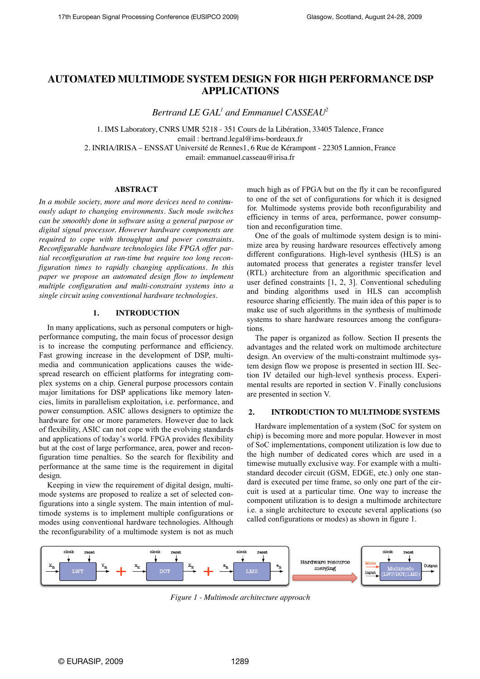# **AUTOMATED MULTIMODE SYSTEM DESIGN FOR HIGH PERFORMANCE DSP APPLICATIONS**

*Bertrand LE GAL1 and Emmanuel CASSEAU2*

1. IMS Laboratory, CNRS UMR 5218 - 351 Cours de la Libération, 33405 Talence, France email : bertrand.legal@ims-bordeaux.fr

2. INRIA/IRISA – ENSSAT Université de Rennes1, 6 Rue de Kérampont - 22305 Lannion, France email: emmanuel.casseau@irisa.fr

#### **ABSTRACT**

*In a mobile society, more and more devices need to continuously adapt to changing environments. Such mode switches can be smoothly done in software using a general purpose or digital signal processor. However hardware components are required to cope with throughput and power constraints. Reconfigurable hardware technologies like FPGA offer partial reconfiguration at run-time but require too long reconfiguration times to rapidly changing applications. In this paper we propose an automated design flow to implement multiple configuration and multi-constraint systems into a single circuit using conventional hardware technologies.*

# **1. INTRODUCTION**

In many applications, such as personal computers or highperformance computing, the main focus of processor design is to increase the computing performance and efficiency. Fast growing increase in the development of DSP, multimedia and communication applications causes the widespread research on efficient platforms for integrating complex systems on a chip. General purpose processors contain major limitations for DSP applications like memory latencies, limits in parallelism exploitation, i.e. performance, and power consumption. ASIC allows designers to optimize the hardware for one or more parameters. However due to lack of flexibility, ASIC can not cope with the evolving standards and applications of today's world. FPGA provides flexibility but at the cost of large performance, area, power and reconfiguration time penalties. So the search for flexibility and performance at the same time is the requirement in digital design.

Keeping in view the requirement of digital design, multimode systems are proposed to realize a set of selected configurations into a single system. The main intention of multimode systems is to implement multiple configurations or modes using conventional hardware technologies. Although the reconfigurability of a multimode system is not as much

much high as of FPGA but on the fly it can be reconfigured to one of the set of configurations for which it is designed for. Multimode systems provide both reconfigurability and efficiency in terms of area, performance, power consumption and reconfiguration time.

One of the goals of multimode system design is to minimize area by reusing hardware resources effectively among different configurations. High-level synthesis (HLS) is an automated process that generates a register transfer level (RTL) architecture from an algorithmic specification and user defined constraints [1, 2, 3]. Conventional scheduling and binding algorithms used in HLS can accomplish resource sharing efficiently. The main idea of this paper is to make use of such algorithms in the synthesis of multimode systems to share hardware resources among the configurations.

The paper is organized as follow. Section II presents the advantages and the related work on multimode architecture design. An overview of the multi-constraint multimode system design flow we propose is presented in section III. Section IV detailed our high-level synthesis process. Experimental results are reported in section V. Finally conclusions are presented in section V.

## **2. INTRODUCTION TO MULTIMODE SYSTEMS**

Hardware implementation of a system (SoC for system on chip) is becoming more and more popular. However in most of SoC implementations, component utilization is low due to the high number of dedicated cores which are used in a timewise mutually exclusive way. For example with a multistandard decoder circuit (GSM, EDGE, etc.) only one standard is executed per time frame, so only one part of the circuit is used at a particular time. One way to increase the component utilization is to design a multimode architecture i.e. a single architecture to execute several applications (so called configurations or modes) as shown in figure 1.



*Figure 1 - Multimode architecture approach*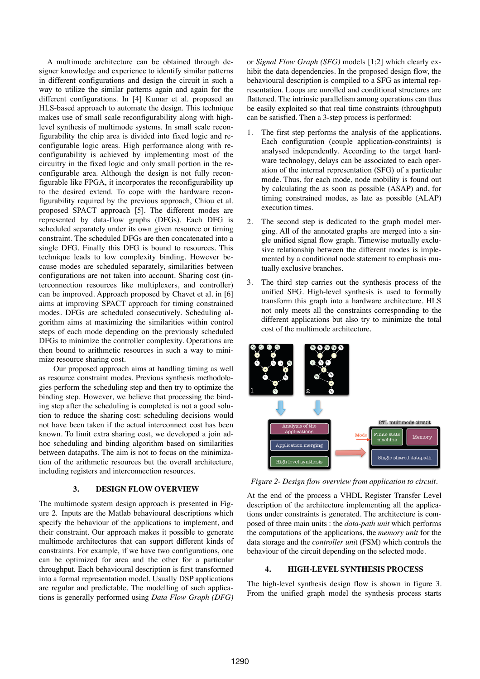A multimode architecture can be obtained through designer knowledge and experience to identify similar patterns in different configurations and design the circuit in such a way to utilize the similar patterns again and again for the different configurations. In [4] Kumar et al. proposed an HLS-based approach to automate the design. This technique makes use of small scale reconfigurability along with highlevel synthesis of multimode systems. In small scale reconfigurability the chip area is divided into fixed logic and reconfigurable logic areas. High performance along with reconfigurability is achieved by implementing most of the circuitry in the fixed logic and only small portion in the reconfigurable area. Although the design is not fully reconfigurable like FPGA, it incorporates the reconfigurability up to the desired extend. To cope with the hardware reconfigurability required by the previous approach, Chiou et al. proposed SPACT approach [5]. The different modes are represented by data-flow graphs (DFGs). Each DFG is scheduled separately under its own given resource or timing constraint. The scheduled DFGs are then concatenated into a single DFG. Finally this DFG is bound to resources. This technique leads to low complexity binding. However because modes are scheduled separately, similarities between configurations are not taken into account. Sharing cost (interconnection resources like multiplexers, and controller) can be improved. Approach proposed by Chavet et al. in [6] aims at improving SPACT approach for timing constrained modes. DFGs are scheduled consecutively. Scheduling algorithm aims at maximizing the similarities within control steps of each mode depending on the previously scheduled DFGs to minimize the controller complexity. Operations are then bound to arithmetic resources in such a way to minimize resource sharing cost.

Our proposed approach aims at handling timing as well as resource constraint modes. Previous synthesis methodologies perform the scheduling step and then try to optimize the binding step. However, we believe that processing the binding step after the scheduling is completed is not a good solution to reduce the sharing cost: scheduling decisions would not have been taken if the actual interconnect cost has been known. To limit extra sharing cost, we developed a join adhoc scheduling and binding algorithm based on similarities between datapaths. The aim is not to focus on the minimization of the arithmetic resources but the overall architecture, including registers and interconnection resources.

# **3. DESIGN FLOW OVERVIEW**

The multimode system design approach is presented in Figure 2. Inputs are the Matlab behavioural descriptions which specify the behaviour of the applications to implement, and their constraint. Our approach makes it possible to generate multimode architectures that can support different kinds of constraints. For example, if we have two configurations, one can be optimized for area and the other for a particular throughput. Each behavioural description is first transformed into a formal representation model. Usually DSP applications are regular and predictable. The modelling of such applications is generally performed using *Data Flow Graph (DFG)*

or *Signal Flow Graph (SFG)* models [1;2] which clearly exhibit the data dependencies. In the proposed design flow, the behavioural description is compiled to a SFG as internal representation. Loops are unrolled and conditional structures are flattened. The intrinsic parallelism among operations can thus be easily exploited so that real time constraints (throughput) can be satisfied. Then a 3-step process is performed:

- 1. The first step performs the analysis of the applications. Each configuration (couple application-constraints) is analysed independently. According to the target hardware technology, delays can be associated to each operation of the internal representation (SFG) of a particular mode. Thus, for each mode, node mobility is found out by calculating the as soon as possible (ASAP) and, for timing constrained modes, as late as possible (ALAP) execution times.
- 2. The second step is dedicated to the graph model merging. All of the annotated graphs are merged into a single unified signal flow graph. Timewise mutually exclusive relationship between the different modes is implemented by a conditional node statement to emphasis mutually exclusive branches.
- 3. The third step carries out the synthesis process of the unified SFG. High-level synthesis is used to formally transform this graph into a hardware architecture. HLS not only meets all the constraints corresponding to the different applications but also try to minimize the total cost of the multimode architecture.



*Figure 2- Design flow overview from application to circuit.*

At the end of the process a VHDL Register Transfer Level description of the architecture implementing all the applications under constraints is generated. The architecture is composed of three main units : the *data-path unit* which performs the computations of the applications, the *memory unit* for the data storage and the *controller uni*t (FSM) which controls the behaviour of the circuit depending on the selected mode.

# **4. HIGH-LEVEL SYNTHESIS PROCESS**

The high-level synthesis design flow is shown in figure 3. From the unified graph model the synthesis process starts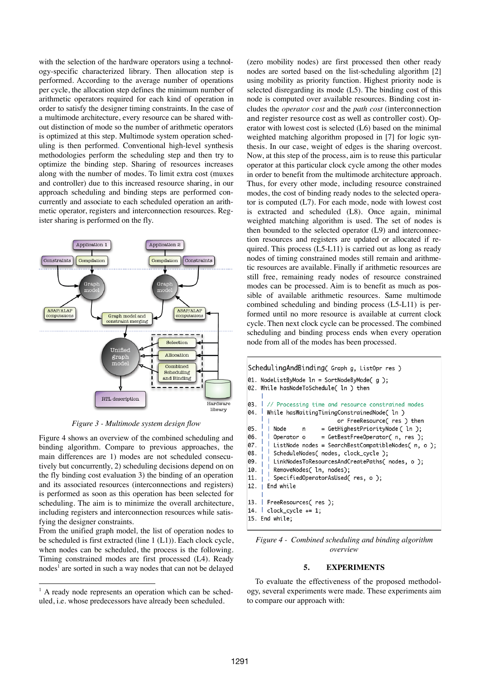with the selection of the hardware operators using a technology-specific characterized library. Then allocation step is performed. According to the average number of operations per cycle, the allocation step defines the minimum number of arithmetic operators required for each kind of operation in order to satisfy the designer timing constraints. In the case of a multimode architecture, every resource can be shared without distinction of mode so the number of arithmetic operators is optimized at this step. Multimode system operation scheduling is then performed. Conventional high-level synthesis methodologies perform the scheduling step and then try to optimize the binding step. Sharing of resources increases along with the number of modes. To limit extra cost (muxes and controller) due to this increased resource sharing, in our approach scheduling and binding steps are performed concurrently and associate to each scheduled operation an arithmetic operator, registers and interconnection resources. Register sharing is performed on the fly.



*Figure 3 - Multimode system design flow*

Figure 4 shows an overview of the combined scheduling and binding algorithm. Compare to previous approaches, the main differences are 1) modes are not scheduled consecutively but concurrently, 2) scheduling decisions depend on on the fly binding cost evaluation 3) the binding of an operation and its associated resources (interconnections and registers) is performed as soon as this operation has been selected for scheduling. The aim is to minimize the overall architecture, including registers and interconnection resources while satisfying the designer constraints.

From the unified graph model*,* the list of operation nodes to be scheduled is first extracted (line 1 (L1)). Each clock cycle, when nodes can be scheduled, the process is the following. Timing constrained modes are first processed (L4). Ready nodes<sup>1</sup> are sorted in such a way nodes that can not be delayed

 $\overline{a}$ 

(zero mobility nodes) are first processed then other ready nodes are sorted based on the list-scheduling algorithm [2] using mobility as priority function. Highest priority node is selected disregarding its mode (L5). The binding cost of this node is computed over available resources. Binding cost includes the *operator cost* and the *path cost* (interconnection and register resource cost as well as controller cost). Operator with lowest cost is selected (L6) based on the minimal weighted matching algorithm proposed in [7] for logic synthesis. In our case, weight of edges is the sharing overcost. Now, at this step of the process, aim is to reuse this particular operator at this particular clock cycle among the other modes in order to benefit from the multimode architecture approach. Thus, for every other mode, including resource constrained modes, the cost of binding ready nodes to the selected operator is computed (L7). For each mode, node with lowest cost is extracted and scheduled (L8). Once again, minimal weighted matching algorithm is used. The set of nodes is then bounded to the selected operator (L9) and interconnection resources and registers are updated or allocated if required. This process (L5-L11) is carried out as long as ready nodes of timing constrained modes still remain and arithmetic resources are available. Finally if arithmetic resources are still free, remaining ready nodes of resource constrained modes can be processed. Aim is to benefit as much as possible of available arithmetic resources. Same multimode combined scheduling and binding process (L5-L11) is performed until no more resource is available at current clock cycle. Then next clock cycle can be processed. The combined scheduling and binding process ends when every operation node from all of the modes has been processed.

```
SchedulingAndBinding( Graph g, ListOpr res )
01. NodeListByMode ln = SortNodeByMode( g);
02. While hasNodeToSchedule( ln ) then
03.
      // Processing time and resource constrained modes
04.
      While hasWaitingTimingConstrainedNode( ln)
                            or FreeResource(res) then
05.
                       = GetHighestPriorityNode ( ln );
        Node
                 \overline{p}06.
                       = GetBestFreeOperator( n, res );
        Operator o
        ListNode nodes = SearchBestCompatibleNodes( n, o);
07.
08.
        ScheduleNodes( nodes, clock_cycle );
09.
        LinkNodesToResourcesAndCreatePaths( nodes, o);
10.
        RemoveNodes( ln, nodes);
        SpecifiedOperatorAsUsed(res, o);
11.
12.
      End while
13.
      FreeResources(res);
14.clock\_cycle += 1;15. End while:
```
*Figure 4 - Combined scheduling and binding algorithm overview*

#### **5. EXPERIMENTS**

To evaluate the effectiveness of the proposed methodology, several experiments were made. These experiments aim to compare our approach with:

<sup>&</sup>lt;sup>1</sup> A ready node represents an operation which can be scheduled, i.e. whose predecessors have already been scheduled.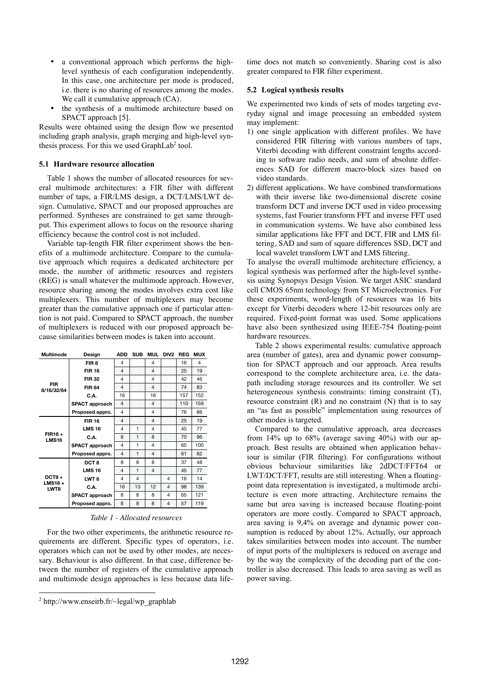- a conventional approach which performs the highlevel synthesis of each configuration independently. In this case, one architecture per mode is produced, i.e. there is no sharing of resources among the modes. We call it cumulative approach  $(CA)$ .
- the synthesis of a multimode architecture based on SPACT approach [5].

Results were obtained using the design flow we presented including graph analysis, graph merging and high-level synthesis process. For this we used  $GraphLab<sup>2</sup>$  tool.

## **5.1 Hardware resource allocation**

Table 1 shows the number of allocated resources for several multimode architectures: a FIR filter with different number of taps, a FIR/LMS design, a DCT/LMS/LWT design. Cumulative, SPACT and our proposed approaches are performed. Syntheses are constrained to get same throughput. This experiment allows to focus on the resource sharing efficiency because the control cost is not included.

Variable tap-length FIR filter experiment shows the benefits of a multimode architecture. Compare to the cumulative approach which requires a dedicated architecture per mode, the number of arithmetic resources and registers (REG) is small whatever the multimode approach. However, resource sharing among the modes involves extra cost like multiplexers. This number of multiplexers may become greater than the cumulative approach one if particular attention is not paid. Compared to SPACT approach, the number of multiplexers is reduced with our proposed approach because similarities between modes is taken into account.

| Multimode                     | Design           |    | <b>SUB</b>     |                | MUL DIV2 | <b>REG</b> | <b>MUX</b> |
|-------------------------------|------------------|----|----------------|----------------|----------|------------|------------|
| <b>FIR</b><br>8/16/32/64      | FIR <sub>8</sub> | 4  |                | $\overline{4}$ |          | 16         | 4          |
|                               | <b>FIR 16</b>    | 4  |                | $\overline{4}$ |          | 25         | 19         |
|                               | <b>FIR 32</b>    | 4  |                | $\overline{4}$ |          | 42         | 46         |
|                               | <b>FIR 64</b>    | 4  |                | $\overline{4}$ |          | 74         | 83         |
|                               | C.A.             | 16 |                | 16             |          | 157        | 152        |
|                               | SPACT approach   | 4  |                | $\overline{4}$ |          | 110        | 159        |
|                               | Proposed appro.  | 4  |                | $\overline{4}$ |          | 76         | 86         |
| <b>FIR16+</b><br><b>LMS16</b> | <b>FIR 16</b>    | 4  |                | $\overline{4}$ |          | 25         | 19         |
|                               | <b>LMS 16</b>    | 4  | 1              | $\overline{4}$ |          | 45         | 77         |
|                               | C.A.             | 8  | $\mathbf{1}$   | 8              |          | 70         | 96         |
|                               | SPACT approach   | 4  | 1              | $\overline{4}$ |          | 65         | 100        |
|                               | Proposed appro.  | 4  | $\mathbf{1}$   | $\overline{4}$ |          | 61         | 82         |
| $DCT8 +$<br>$LMS16 +$<br>LWT8 | DCT <sub>8</sub> | 8  | 8              | 8              |          | 37         | 48         |
|                               | <b>LMS 16</b>    | 4  | $\mathbf{1}$   | $\overline{4}$ |          | 45         | 77         |
|                               | LWT <sub>8</sub> | 4  | $\overline{4}$ |                | 4        | 16         | 14         |
|                               | C.A.             | 16 | 13             | 12             | 4        | 98         | 139        |
|                               | SPACT approach   | 8  | 8              | 8              | 4        | 65         | 121        |
|                               | Proposed appro.  | 8  | 8              | 8              | 4        | 57         | 119        |

## *Table 1 - Allocated resources*

For the two other experiments, the arithmetic resource requirements are different. Specific types of operators, i.e. operators which can not be used by other modes, are necessary. Behaviour is also different. In that case, difference between the number of registers of the cumulative approach and multimode design approaches is less because data life-

 $\overline{a}$ 

time does not match so conveniently. Sharing cost is also greater compared to FIR filter experiment.

## **5.2 Logical synthesis results**

We experimented two kinds of sets of modes targeting everyday signal and image processing an embedded system may implement:

- 1) one single application with different profiles. We have considered FIR filtering with various numbers of taps, Viterbi decoding with different constraint lengths according to software radio needs, and sum of absolute differences SAD for different macro-block sizes based on video standards.
- 2) different applications. We have combined transformations with their inverse like two-dimensional discrete cosine transform DCT and inverse DCT used in video processing systems, fast Fourier transform FFT and inverse FFT used in communication systems. We have also combined less similar applications like FFT and DCT, FIR and LMS filtering, SAD and sum of square differences SSD, DCT and local wavelet transform LWT and LMS filtering.

To analyse the overall multimode architecture efficiency, a logical synthesis was performed after the high-level synthesis using Synopsys Design Vision. We target ASIC standard cell CMOS 65nm technology from ST Microelectronics. For these experiments, word-length of resources was 16 bits except for Viterbi decoders where 12-bit resources only are required. Fixed-point format was used. Some applications have also been synthesized using IEEE-754 floating-point hardware resources.

Table 2 shows experimental results: cumulative approach area (number of gates), area and dynamic power consumption for SPACT approach and our approach. Area results correspond to the complete architecture area, i.e. the datapath including storage resources and its controller. We set heterogeneous synthesis constraints: timing constraint (T), resource constraint (R) and no constraint (N) that is to say an "as fast as possible" implementation using resources of other modes is targeted.

Compared to the cumulative approach, area decreases from 14% up to 68% (average saving 40%) with our approach. Best results are obtained when application behaviour is similar (FIR filtering). For configurations without obvious behaviour similarities like 2dDCT/FFT64 or LWT/DCT/FFT, results are still interesting. When a floatingpoint data representation is investigated, a multimode architecture is even more attracting. Architecture remains the same but area saving is increased because floating-point operators are more costly. Compared to SPACT approach, area saving is 9,4% on average and dynamic power consumption is reduced by about 12%. Actually, our approach takes similarities between modes into account. The number of input ports of the multiplexers is reduced on average and by the way the complexity of the decoding part of the controller is also decreased. This leads to area saving as well as power saving.

 $2$  http://www.enseirb.fr/ $\sim$ legal/wp\_graphlab